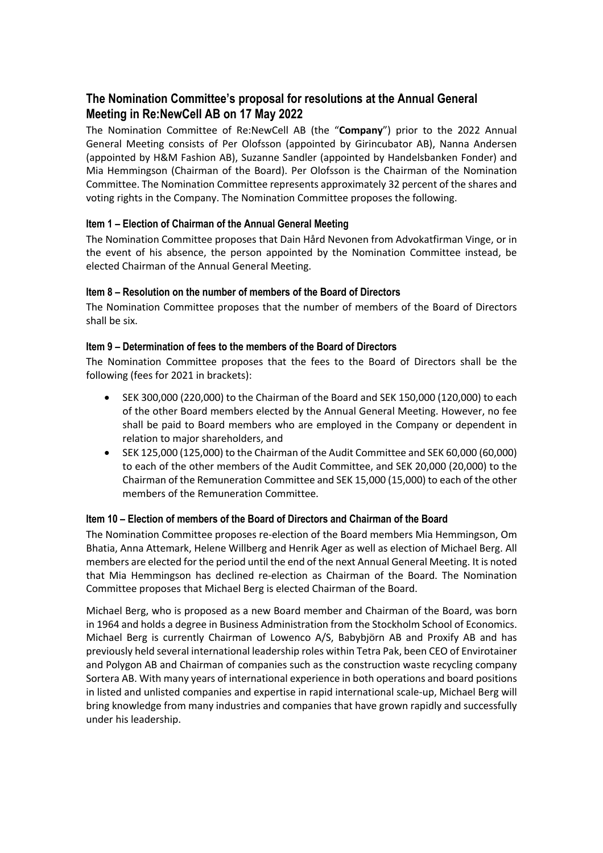# **The Nomination Committee's proposal for resolutions at the Annual General Meeting in Re:NewCell AB on 17 May 2022**

The Nomination Committee of Re:NewCell AB (the "**Company**") prior to the 2022 Annual General Meeting consists of Per Olofsson (appointed by Girincubator AB), Nanna Andersen (appointed by H&M Fashion AB), Suzanne Sandler (appointed by Handelsbanken Fonder) and Mia Hemmingson (Chairman of the Board). Per Olofsson is the Chairman of the Nomination Committee. The Nomination Committee represents approximately 32 percent of the shares and voting rights in the Company. The Nomination Committee proposes the following.

# **Item 1 – Election of Chairman of the Annual General Meeting**

The Nomination Committee proposes that Dain Hård Nevonen from Advokatfirman Vinge, or in the event of his absence, the person appointed by the Nomination Committee instead, be elected Chairman of the Annual General Meeting.

# **Item 8 – Resolution on the number of members of the Board of Directors**

The Nomination Committee proposes that the number of members of the Board of Directors shall be six.

## **Item 9 – Determination of fees to the members of the Board of Directors**

The Nomination Committee proposes that the fees to the Board of Directors shall be the following (fees for 2021 in brackets):

- SEK 300,000 (220,000) to the Chairman of the Board and SEK 150,000 (120,000) to each of the other Board members elected by the Annual General Meeting. However, no fee shall be paid to Board members who are employed in the Company or dependent in relation to major shareholders, and
- SEK 125,000 (125,000) to the Chairman of the Audit Committee and SEK 60,000 (60,000) to each of the other members of the Audit Committee, and SEK 20,000 (20,000) to the Chairman of the Remuneration Committee and SEK 15,000 (15,000) to each of the other members of the Remuneration Committee.

# **Item 10 – Election of members of the Board of Directors and Chairman of the Board**

The Nomination Committee proposes re-election of the Board members Mia Hemmingson, Om Bhatia, Anna Attemark, Helene Willberg and Henrik Ager as well as election of Michael Berg. All members are elected for the period until the end of the next Annual General Meeting. It is noted that Mia Hemmingson has declined re-election as Chairman of the Board. The Nomination Committee proposes that Michael Berg is elected Chairman of the Board.

Michael Berg, who is proposed as a new Board member and Chairman of the Board, was born in 1964 and holds a degree in Business Administration from the Stockholm School of Economics. Michael Berg is currently Chairman of Lowenco A/S, Babybjörn AB and Proxify AB and has previously held several international leadership roles within Tetra Pak, been CEO of Envirotainer and Polygon AB and Chairman of companies such as the construction waste recycling company Sortera AB. With many years of international experience in both operations and board positions in listed and unlisted companies and expertise in rapid international scale-up, Michael Berg will bring knowledge from many industries and companies that have grown rapidly and successfully under his leadership.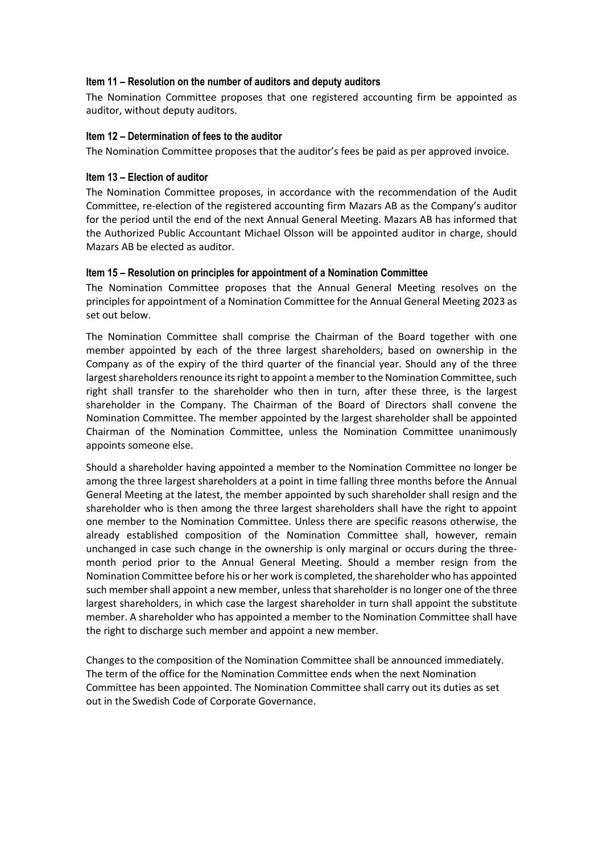#### **Item 11 – Resolution on the number of auditors and deputy auditors**

The Nomination Committee proposes that one registered accounting firm be appointed as auditor, without deputy auditors.

#### **Item 12 – Determination of fees to the auditor**

The Nomination Committee proposes that the auditor's fees be paid as per approved invoice.

## **Item 13 – Election of auditor**

The Nomination Committee proposes, in accordance with the recommendation of the Audit Committee, re-election of the registered accounting firm Mazars AB as the Company's auditor for the period until the end of the next Annual General Meeting. Mazars AB has informed that the Authorized Public Accountant Michael Olsson will be appointed auditor in charge, should Mazars AB be elected as auditor.

## **Item 15 – Resolution on principles for appointment of a Nomination Committee**

The Nomination Committee proposes that the Annual General Meeting resolves on the principles for appointment of a Nomination Committee for the Annual General Meeting 2023 as set out below.

The Nomination Committee shall comprise the Chairman of the Board together with one member appointed by each of the three largest shareholders, based on ownership in the Company as of the expiry of the third quarter of the financial year. Should any of the three largest shareholders renounce its right to appoint a memberto the Nomination Committee, such right shall transfer to the shareholder who then in turn, after these three, is the largest shareholder in the Company. The Chairman of the Board of Directors shall convene the Nomination Committee. The member appointed by the largest shareholder shall be appointed Chairman of the Nomination Committee, unless the Nomination Committee unanimously appoints someone else.

Should a shareholder having appointed a member to the Nomination Committee no longer be among the three largest shareholders at a point in time falling three months before the Annual General Meeting at the latest, the member appointed by such shareholder shall resign and the shareholder who is then among the three largest shareholders shall have the right to appoint one member to the Nomination Committee. Unless there are specific reasons otherwise, the already established composition of the Nomination Committee shall, however, remain unchanged in case such change in the ownership is only marginal or occurs during the threemonth period prior to the Annual General Meeting. Should a member resign from the Nomination Committee before his or her work is completed, the shareholder who has appointed such member shall appoint a new member, unless that shareholder is no longer one of the three largest shareholders, in which case the largest shareholder in turn shall appoint the substitute member. A shareholder who has appointed a member to the Nomination Committee shall have the right to discharge such member and appoint a new member.

Changes to the composition of the Nomination Committee shall be announced immediately. The term of the office for the Nomination Committee ends when the next Nomination Committee has been appointed. The Nomination Committee shall carry out its duties as set out in the Swedish Code of Corporate Governance.